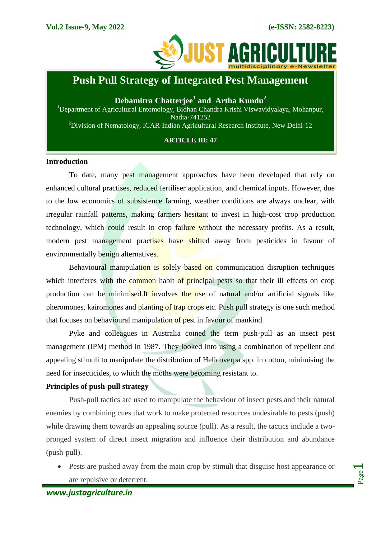Page  $\overline{\phantom{0}}$ 



# **Push Pull Strategy of Integrated Pest Management**

**Debamitra Chatterjee<sup>1</sup> and Artha Kundu<sup>2</sup>** <sup>1</sup>Department of Agricultural Entomology, Bidhan Chandra Krishi Viswavidyalaya, Mohanpur, Nadia-741252 <sup>2</sup>Division of Nematology, ICAR-Indian Agricultural Research Institute, New Delhi-12

## **ARTICLE ID: 47**

## **Introduction**

To date, many pest management approaches have been developed that rely on enhanced cultural practises, reduced fertiliser application, and chemical inputs. However, due to the low economics of subsistence farming, weather conditions are always unclear, with irregular rainfall patterns, making farmers hesitant to invest in high-cost crop production technology, which could result in crop failure without the necessary profits. As a result, modern pest management practises have shifted away from pesticides in favour of environmentally benign alternatives.

Behavioural manipulation is solely based on communication disruption techniques which interferes with the common habit of principal pests so that their ill effects on crop production can be minimised.It involves the use of natural and/or artificial signals like pheromones, kairomones and planting of trap crops etc. Push pull strategy is one such method that focuses on behavioural manipulation of pest in favour of mankind.

Pyke and colleagues in Australia coined the term push-pull as an insect pest management (IPM) method in 1987. They looked into using a combination of repellent and appealing stimuli to manipulate the distribution of Helicoverpa spp. in cotton, minimising the need for insecticides, to which the moths were becoming resistant to.

## **Principles of push-pull strategy**

Push-pull tactics are used to manipulate the behaviour of insect pests and their natural enemies by combining cues that work to make protected resources undesirable to pests (push) while drawing them towards an appealing source (pull). As a result, the tactics include a twopronged system of direct insect migration and influence their distribution and abundance (push-pull).

 Pests are pushed away from the main crop by stimuli that disguise host appearance or are repulsive or deterrent.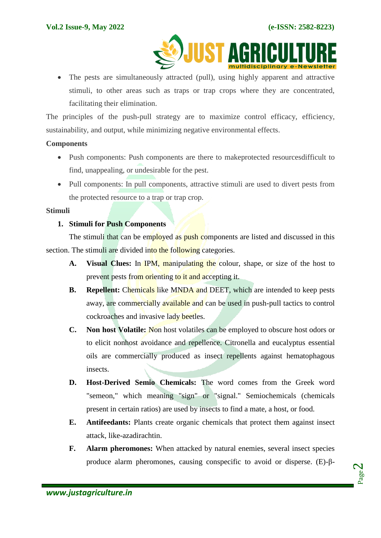

 The pests are simultaneously attracted (pull), using highly apparent and attractive stimuli, to other areas such as traps or trap crops where they are concentrated, facilitating their elimination.

The principles of the push-pull strategy are to maximize control efficacy, efficiency, sustainability, and output, while minimizing negative environmental effects.

## **Components**

- Push components: Push components are there to makeprotected resourcesdifficult to find, unappealing, or undesirable for the pest.
- Pull components: In pull components, attractive stimuli are used to divert pests from the protected resource to a trap or trap crop.

## **Stimuli**

## **1. Stimuli for Push Components**

The stimuli that can be employed as push components are listed and discussed in this section. The stimuli are divided into the following categories.

- **A. Visual Clues:** In IPM, manipulating the colour, shape, or size of the host to prevent pests from orienting to it and accepting it.
- **B. Repellent:** Chemicals like MNDA and DEET, which are intended to keep pests away, are commercially available and can be used in push-pull tactics to control cockroaches and invasive lady beetles.
- **C. Non host Volatile:** Non host volatiles can be employed to obscure host odors or to elicit nonhost avoidance and repellence. Citronella and eucalyptus essential oils are commercially produced as insect repellents against hematophagous insects.
- **D. Host-Derived Semio Chemicals:** The word comes from the Greek word "semeon," which meaning "sign" or "signal." Semiochemicals (chemicals present in certain ratios) are used by insects to find a mate, a host, or food.
- **E. Antifeedants:** Plants create organic chemicals that protect them against insect attack, like-azadirachtin.
- **F. Alarm pheromones:** When attacked by natural enemies, several insect species produce alarm pheromones, causing conspecific to avoid or disperse. (E)-β-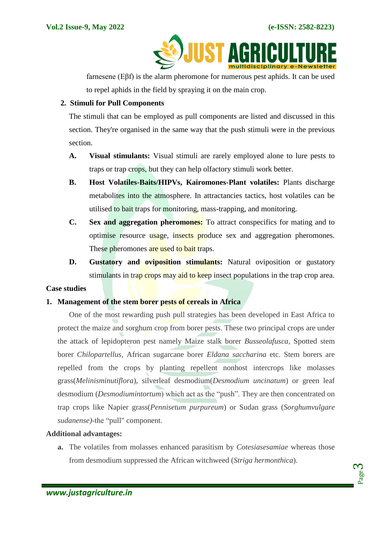

farnesene (Eβf) is the alarm pheromone for numerous pest aphids. It can be used to repel aphids in the field by spraying it on the main crop.

## **2. Stimuli for Pull Components**

The stimuli that can be employed as pull components are listed and discussed in this section. They're organised in the same way that the push stimuli were in the previous section.

- **A. Visual stimulants:** Visual stimuli are rarely employed alone to lure pests to traps or trap crops, but they can help olfactory stimuli work better.
- **B. Host Volatiles-Baits/HIPVs, Kairomones-Plant volatiles:** Plants discharge metabolites into the atmosphere. In attractancies tactics, host volatiles can be utilised to bait traps for monitoring, mass-trapping, and monitoring.
- **C. Sex and aggregation pheromones:** To attract conspecifics for mating and to optimise resource usage, insects produce sex and aggregation pheromones. These pheromones are used to bait traps.
- **D. Gustatory and oviposition stimulants:** Natural oviposition or gustatory stimulants in trap crops may aid to keep insect populations in the trap crop area.

## **Case studies**

## **1. Management of the stem borer pests of cereals in Africa**

One of the most rewarding push pull strategies has been developed in East Africa to protect the maize and sorghum crop from borer pests. These two principal crops are under the attack of lepidopteron pest namely Maize stalk borer *Busseolafusca*, Spotted stem borer *Chilopartellus*, African sugarcane borer *Eldana saccharina* etc. Stem borers are repelled from the crops by planting repellent nonhost intercrops like molasses grass(*Melinisminutiflora*), silverleaf desmodium(*Desmodium uncinatum*) or green leaf desmodium (*Desmodiumintortum*) which act as the "push". They are then concentrated on trap crops like Napier grass(*Pennisetum purpureum*) or Sudan grass (*Sorghumvulgare sudanense)-*the "pull" component.

## **Additional advantages:**

**a.** The volatiles from molasses enhanced parasitism by *Cotesiasesamiae* whereas those from desmodium suppressed the African witchweed (*Striga hermonthica*).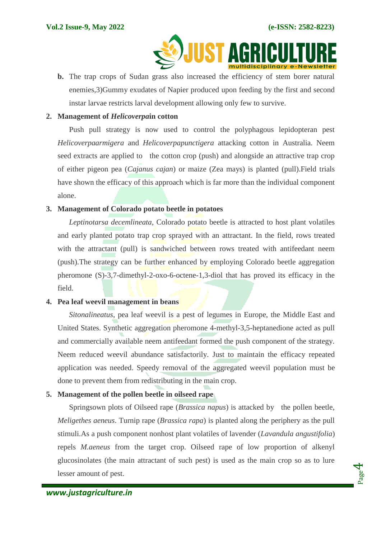

**b.** The trap crops of Sudan grass also increased the efficiency of stem borer natural enemies,3)Gummy exudates of Napier produced upon feeding by the first and second instar larvae restricts larval development allowing only few to survive.

## **2. Management of** *Helicoverpa***in cotton**

Push pull strategy is now used to control the polyphagous lepidopteran pest *Helicoverpaarmigera* and *Helicoverpapunctigera* attacking cotton in Australia. Neem seed extracts are applied to the cotton crop (push) and alongside an attractive trap crop of either pigeon pea (*Cajanus cajan*) or maize (Zea mays) is planted (pull).Field trials have shown the efficacy of this approach which is far more than the individual component alone.

## **3. Management of Colorado potato beetle in potatoes**

*Leptinotarsa decemlineata*, Colorado potato beetle is attracted to host plant volatiles and early planted potato trap crop sprayed with an attractant. In the field, rows treated with the attractant (pull) is sandwiched between rows treated with antifeedant neem (push).The strategy can be further enhanced by employing Colorado beetle aggregation pheromone (S)-3,7-dimethyl-2-oxo-6-octene-1,3-diol that has proved its efficacy in the field.

## **4. Pea leaf weevil management in beans**

*Sitonalineatus*, pea leaf weevil is a pest of legumes in Europe, the Middle East and United States. Synthetic aggregation pheromone 4-methyl-3,5-heptanedione acted as pull and commercially available neem antifeedant formed the push component of the strategy. Neem reduced weevil abundance satisfactorily. Just to maintain the efficacy repeated application was needed. Speedy removal of the aggregated weevil population must be done to prevent them from redistributing in the main crop.

# **5. Management of the pollen beetle in oilseed rape**

Springsown plots of Oilseed rape (*Brassica napus*) is attacked by the pollen beetle, *Meligethes aeneus*. Turnip rape (*Brassica rapa*) is planted along the periphery as the pull stimuli.As a push component nonhost plant volatiles of lavender (*Lavandula angustifolia*) repels *M.aeneus* from the target crop. Oilseed rape of low proportion of alkenyl glucosinolates (the main attractant of such pest) is used as the main crop so as to lure lesser amount of pest.

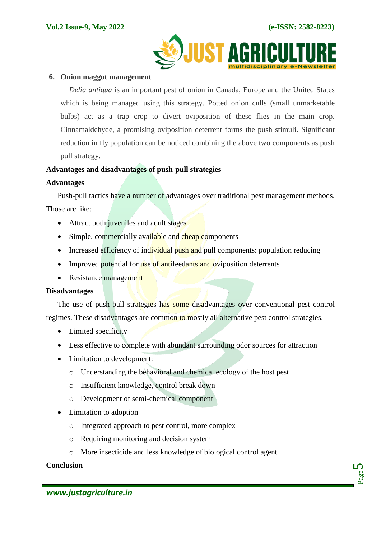

#### **6. Onion maggot management**

*Delia antiqua* is an important pest of onion in Canada, Europe and the United States which is being managed using this strategy. Potted onion culls (small unmarketable bulbs) act as a trap crop to divert oviposition of these flies in the main crop. Cinnamaldehyde, a promising oviposition deterrent forms the push stimuli. Significant reduction in fly population can be noticed combining the above two components as push pull strategy.

## **Advantages and disadvantages of push-pull strategies**

## **Advantages**

Push-pull tactics have a number of advantages over traditional pest management methods. Those are like:

- Attract both juveniles and adult stages
- Simple, commercially available and cheap components
- Increased efficiency of individual push and pull components: population reducing
- Improved potential for use of antifeedants and oviposition deterrents
- Resistance management

## **Disadvantages**

The use of push-pull strategies has some disadvantages over conventional pest control regimes. These disadvantages are common to mostly all alternative pest control strategies.

- Limited specificity
- Less effective to complete with abundant surrounding odor sources for attraction
- Limitation to development:
	- o Understanding the behavioral and chemical ecology of the host pest
	- o Insufficient knowledge, control break down
	- o Development of semi-chemical component
- Limitation to adoption
	- o Integrated approach to pest control, more complex
	- o Requiring monitoring and decision system
	- o More insecticide and less knowledge of biological control agent

# **Conclusion**